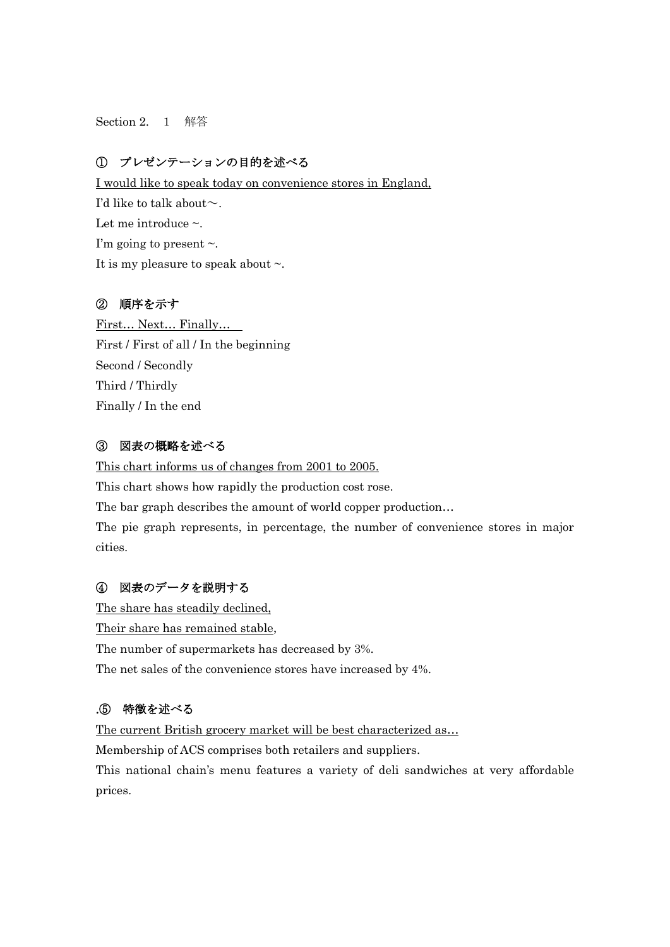Section 2. 1 解答

## ① プレゼンテーションの目的を述べる

I would like to speak today on convenience stores in England, I'd like to talk about  $\sim$ . Let me introduce  $\sim$ . I'm going to present  $\sim$ . It is my pleasure to speak about  $\sim$ .

#### ② 順序を示す

First… Next… Finally… First / First of all / In the beginning Second / Secondly Third / Thirdly Finally / In the end

### ③ 図表の概略を述べる

This chart informs us of changes from 2001 to 2005. This chart shows how rapidly the production cost rose. The bar graph describes the amount of world copper production… The pie graph represents, in percentage, the number of convenience stores in major cities.

### ④ 図表のデータを説明する

The share has steadily declined, Their share has remained stable, The number of supermarkets has decreased by 3%. The net sales of the convenience stores have increased by 4%.

# .⑤ 特徴を述べる

The current British grocery market will be best characterized as...

Membership of ACS comprises both retailers and suppliers.

This national chain's menu features a variety of deli sandwiches at very affordable prices.